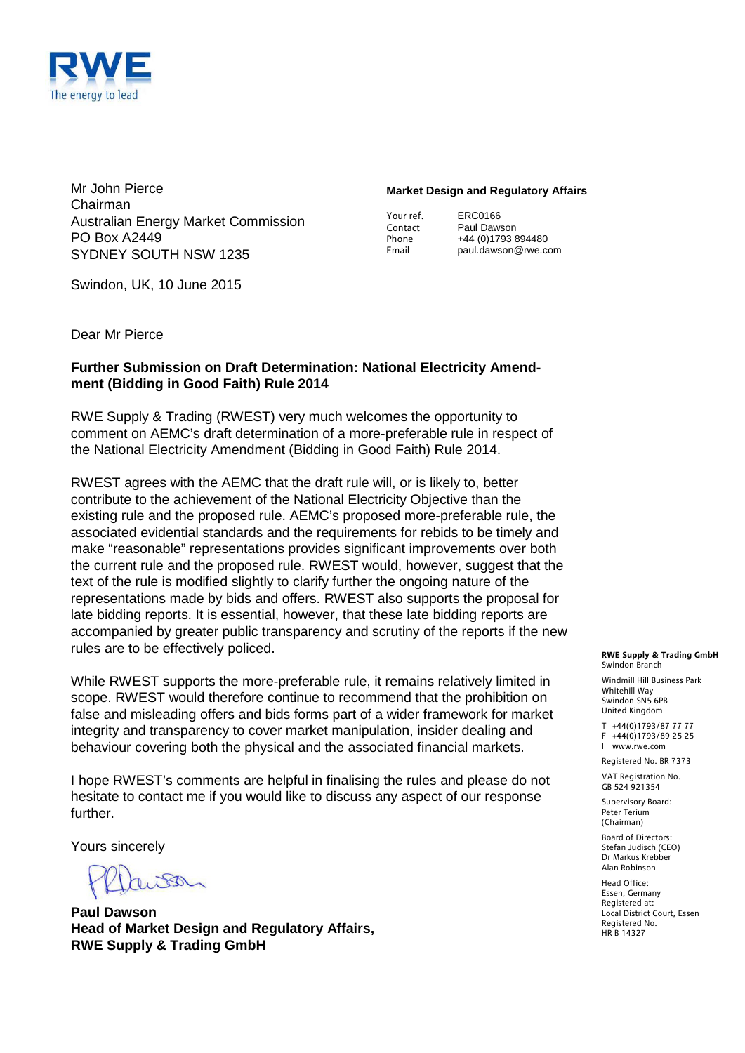

Mr John Pierce Chairman Australian Energy Market Commission PO Box A2449 SYDNEY SOUTH NSW 1235

#### **Market Design and Regulatory Affairs**

| Your ref. |  |
|-----------|--|
| Contact   |  |
| Phone     |  |
| Email     |  |

ERC0166 Paul Dawson +44 (0)1793 894480 paul.dawson@rwe.com

Swindon, UK, 10 June 2015

Dear Mr Pierce

#### **Further Submission on Draft Determination: National Electricity Amendment (Bidding in Good Faith) Rule 2014**

RWE Supply & Trading (RWEST) very much welcomes the opportunity to comment on AEMC's draft determination of a more-preferable rule in respect of the National Electricity Amendment (Bidding in Good Faith) Rule 2014.

RWEST agrees with the AEMC that the draft rule will, or is likely to, better contribute to the achievement of the National Electricity Objective than the existing rule and the proposed rule. AEMC's proposed more-preferable rule, the associated evidential standards and the requirements for rebids to be timely and make "reasonable" representations provides significant improvements over both the current rule and the proposed rule. RWEST would, however, suggest that the text of the rule is modified slightly to clarify further the ongoing nature of the representations made by bids and offers. RWEST also supports the proposal for late bidding reports. It is essential, however, that these late bidding reports are accompanied by greater public transparency and scrutiny of the reports if the new rules are to be effectively policed.

While RWEST supports the more-preferable rule, it remains relatively limited in scope. RWEST would therefore continue to recommend that the prohibition on false and misleading offers and bids forms part of a wider framework for market integrity and transparency to cover market manipulation, insider dealing and behaviour covering both the physical and the associated financial markets.

I hope RWEST's comments are helpful in finalising the rules and please do not hesitate to contact me if you would like to discuss any aspect of our response further.

Yours sincerely

 $180-$ 

**Paul Dawson Head of Market Design and Regulatory Affairs, RWE Supply & Trading GmbH**

#### **RWE Supply & Trading GmbH** Swindon Branch

Windmill Hill Business Park Whitehill Way Swindon SN5 6PB United Kingdom

T +44(0)1793/87 77 77 F +44(0)1793/89 25 25 I www.rwe.com

Registered No. BR 7373

VAT Registration No. GB 524 921354

Supervisory Board: Peter Terium (Chairman)

Board of Directors: Stefan Judisch (CEO) Dr Markus Krebber Alan Robinson

Head Office: Essen, Germany Registered at: Local District Court, Essen Registered No. HR B 14327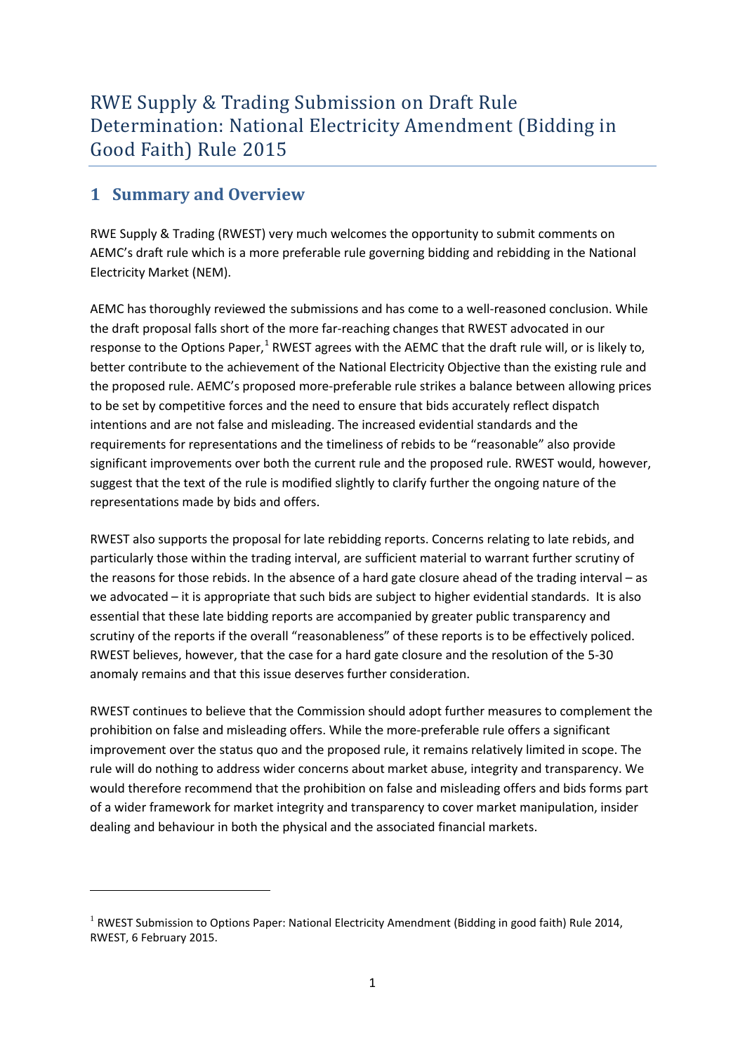## **1 Summary and Overview**

**.** 

RWE Supply & Trading (RWEST) very much welcomes the opportunity to submit comments on AEMC's draft rule which is a more preferable rule governing bidding and rebidding in the National Electricity Market (NEM).

AEMC has thoroughly reviewed the submissions and has come to a well-reasoned conclusion. While the draft proposal falls short of the more far-reaching changes that RWEST advocated in our response to the Options Paper, $1$  RWEST agrees with the AEMC that the draft rule will, or is likely to, better contribute to the achievement of the National Electricity Objective than the existing rule and the proposed rule. AEMC's proposed more-preferable rule strikes a balance between allowing prices to be set by competitive forces and the need to ensure that bids accurately reflect dispatch intentions and are not false and misleading. The increased evidential standards and the requirements for representations and the timeliness of rebids to be "reasonable" also provide significant improvements over both the current rule and the proposed rule. RWEST would, however, suggest that the text of the rule is modified slightly to clarify further the ongoing nature of the representations made by bids and offers.

RWEST also supports the proposal for late rebidding reports. Concerns relating to late rebids, and particularly those within the trading interval, are sufficient material to warrant further scrutiny of the reasons for those rebids. In the absence of a hard gate closure ahead of the trading interval – as we advocated – it is appropriate that such bids are subject to higher evidential standards. It is also essential that these late bidding reports are accompanied by greater public transparency and scrutiny of the reports if the overall "reasonableness" of these reports is to be effectively policed. RWEST believes, however, that the case for a hard gate closure and the resolution of the 5-30 anomaly remains and that this issue deserves further consideration.

RWEST continues to believe that the Commission should adopt further measures to complement the prohibition on false and misleading offers. While the more-preferable rule offers a significant improvement over the status quo and the proposed rule, it remains relatively limited in scope. The rule will do nothing to address wider concerns about market abuse, integrity and transparency. We would therefore recommend that the prohibition on false and misleading offers and bids forms part of a wider framework for market integrity and transparency to cover market manipulation, insider dealing and behaviour in both the physical and the associated financial markets.

<span id="page-1-0"></span> $1$  RWEST Submission to Options Paper: National Electricity Amendment (Bidding in good faith) Rule 2014, RWEST, 6 February 2015.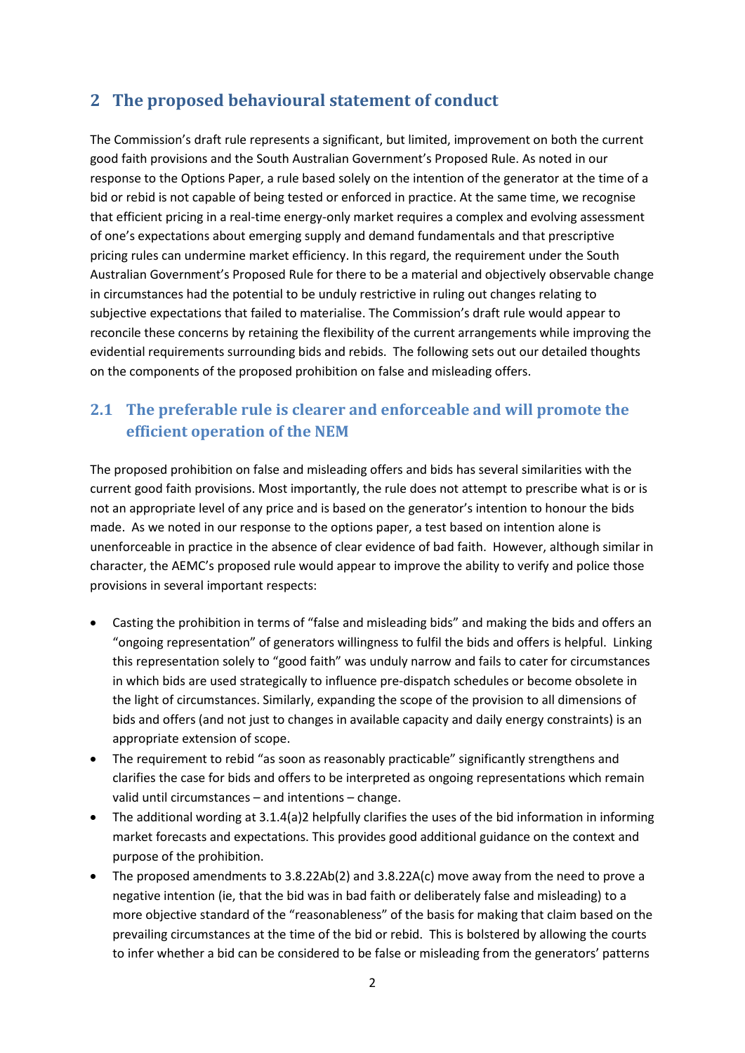## **2 The proposed behavioural statement of conduct**

The Commission's draft rule represents a significant, but limited, improvement on both the current good faith provisions and the South Australian Government's Proposed Rule. As noted in our response to the Options Paper, a rule based solely on the intention of the generator at the time of a bid or rebid is not capable of being tested or enforced in practice. At the same time, we recognise that efficient pricing in a real-time energy-only market requires a complex and evolving assessment of one's expectations about emerging supply and demand fundamentals and that prescriptive pricing rules can undermine market efficiency. In this regard, the requirement under the South Australian Government's Proposed Rule for there to be a material and objectively observable change in circumstances had the potential to be unduly restrictive in ruling out changes relating to subjective expectations that failed to materialise. The Commission's draft rule would appear to reconcile these concerns by retaining the flexibility of the current arrangements while improving the evidential requirements surrounding bids and rebids. The following sets out our detailed thoughts on the components of the proposed prohibition on false and misleading offers.

## **2.1 The preferable rule is clearer and enforceable and will promote the efficient operation of the NEM**

The proposed prohibition on false and misleading offers and bids has several similarities with the current good faith provisions. Most importantly, the rule does not attempt to prescribe what is or is not an appropriate level of any price and is based on the generator's intention to honour the bids made. As we noted in our response to the options paper, a test based on intention alone is unenforceable in practice in the absence of clear evidence of bad faith. However, although similar in character, the AEMC's proposed rule would appear to improve the ability to verify and police those provisions in several important respects:

- Casting the prohibition in terms of "false and misleading bids" and making the bids and offers an "ongoing representation" of generators willingness to fulfil the bids and offers is helpful. Linking this representation solely to "good faith" was unduly narrow and fails to cater for circumstances in which bids are used strategically to influence pre-dispatch schedules or become obsolete in the light of circumstances. Similarly, expanding the scope of the provision to all dimensions of bids and offers (and not just to changes in available capacity and daily energy constraints) is an appropriate extension of scope.
- The requirement to rebid "as soon as reasonably practicable" significantly strengthens and clarifies the case for bids and offers to be interpreted as ongoing representations which remain valid until circumstances – and intentions – change.
- The additional wording at 3.1.4(a)2 helpfully clarifies the uses of the bid information in informing market forecasts and expectations. This provides good additional guidance on the context and purpose of the prohibition.
- The proposed amendments to 3.8.22Ab(2) and 3.8.22A(c) move away from the need to prove a negative intention (ie, that the bid was in bad faith or deliberately false and misleading) to a more objective standard of the "reasonableness" of the basis for making that claim based on the prevailing circumstances at the time of the bid or rebid. This is bolstered by allowing the courts to infer whether a bid can be considered to be false or misleading from the generators' patterns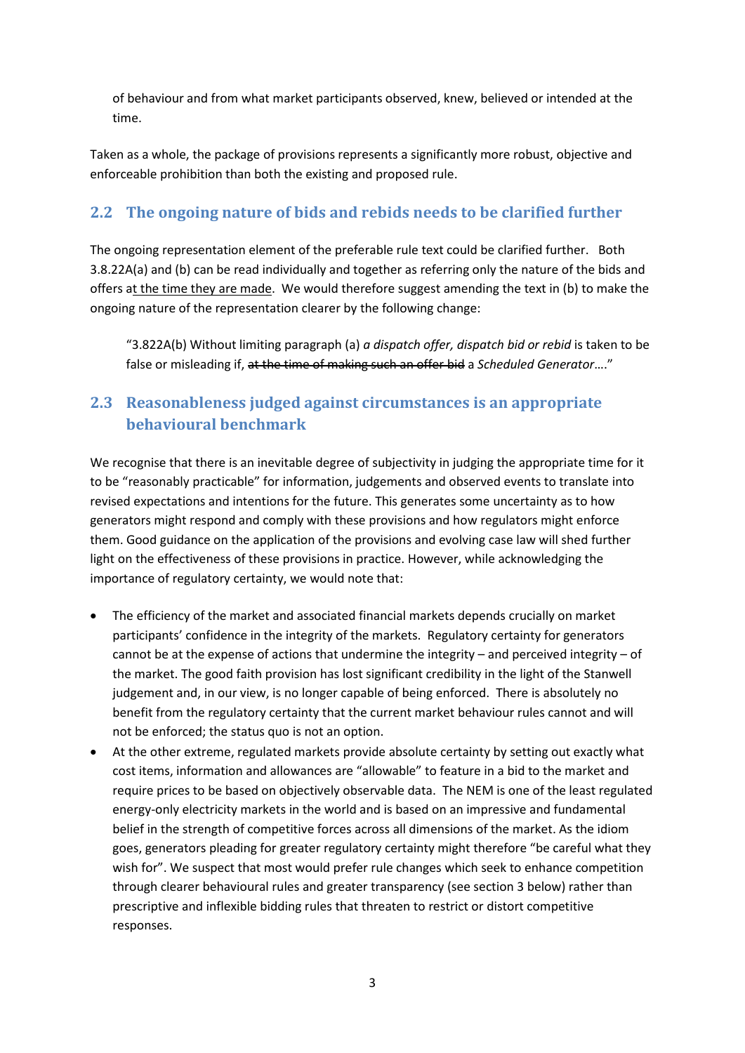of behaviour and from what market participants observed, knew, believed or intended at the time.

Taken as a whole, the package of provisions represents a significantly more robust, objective and enforceable prohibition than both the existing and proposed rule.

#### **2.2 The ongoing nature of bids and rebids needs to be clarified further**

The ongoing representation element of the preferable rule text could be clarified further. Both 3.8.22A(a) and (b) can be read individually and together as referring only the nature of the bids and offers at the time they are made. We would therefore suggest amending the text in (b) to make the ongoing nature of the representation clearer by the following change:

"3.822A(b) Without limiting paragraph (a) *a dispatch offer, dispatch bid or rebid* is taken to be false or misleading if, at the time of making such an offer bid a *Scheduled Generator*…."

## **2.3 Reasonableness judged against circumstances is an appropriate behavioural benchmark**

We recognise that there is an inevitable degree of subjectivity in judging the appropriate time for it to be "reasonably practicable" for information, judgements and observed events to translate into revised expectations and intentions for the future. This generates some uncertainty as to how generators might respond and comply with these provisions and how regulators might enforce them. Good guidance on the application of the provisions and evolving case law will shed further light on the effectiveness of these provisions in practice. However, while acknowledging the importance of regulatory certainty, we would note that:

- The efficiency of the market and associated financial markets depends crucially on market participants' confidence in the integrity of the markets. Regulatory certainty for generators cannot be at the expense of actions that undermine the integrity – and perceived integrity – of the market. The good faith provision has lost significant credibility in the light of the Stanwell judgement and, in our view, is no longer capable of being enforced. There is absolutely no benefit from the regulatory certainty that the current market behaviour rules cannot and will not be enforced; the status quo is not an option.
- At the other extreme, regulated markets provide absolute certainty by setting out exactly what cost items, information and allowances are "allowable" to feature in a bid to the market and require prices to be based on objectively observable data. The NEM is one of the least regulated energy-only electricity markets in the world and is based on an impressive and fundamental belief in the strength of competitive forces across all dimensions of the market. As the idiom goes, generators pleading for greater regulatory certainty might therefore "be careful what they wish for". We suspect that most would prefer rule changes which seek to enhance competition through clearer behavioural rules and greater transparency (see section 3 below) rather than prescriptive and inflexible bidding rules that threaten to restrict or distort competitive responses.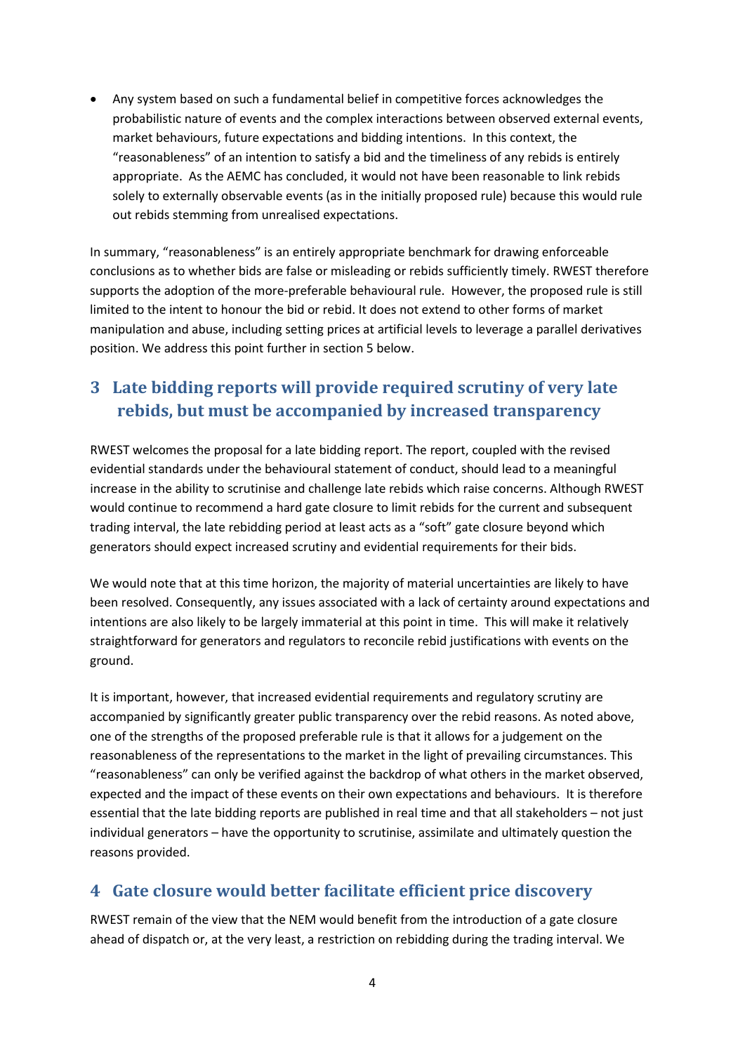• Any system based on such a fundamental belief in competitive forces acknowledges the probabilistic nature of events and the complex interactions between observed external events, market behaviours, future expectations and bidding intentions. In this context, the "reasonableness" of an intention to satisfy a bid and the timeliness of any rebids is entirely appropriate. As the AEMC has concluded, it would not have been reasonable to link rebids solely to externally observable events (as in the initially proposed rule) because this would rule out rebids stemming from unrealised expectations.

In summary, "reasonableness" is an entirely appropriate benchmark for drawing enforceable conclusions as to whether bids are false or misleading or rebids sufficiently timely. RWEST therefore supports the adoption of the more-preferable behavioural rule. However, the proposed rule is still limited to the intent to honour the bid or rebid. It does not extend to other forms of market manipulation and abuse, including setting prices at artificial levels to leverage a parallel derivatives position. We address this point further in section [5 below.](#page-5-0)

# **3 Late bidding reports will provide required scrutiny of very late rebids, but must be accompanied by increased transparency**

RWEST welcomes the proposal for a late bidding report. The report, coupled with the revised evidential standards under the behavioural statement of conduct, should lead to a meaningful increase in the ability to scrutinise and challenge late rebids which raise concerns. Although RWEST would continue to recommend a hard gate closure to limit rebids for the current and subsequent trading interval, the late rebidding period at least acts as a "soft" gate closure beyond which generators should expect increased scrutiny and evidential requirements for their bids.

We would note that at this time horizon, the majority of material uncertainties are likely to have been resolved. Consequently, any issues associated with a lack of certainty around expectations and intentions are also likely to be largely immaterial at this point in time. This will make it relatively straightforward for generators and regulators to reconcile rebid justifications with events on the ground.

It is important, however, that increased evidential requirements and regulatory scrutiny are accompanied by significantly greater public transparency over the rebid reasons. As noted above, one of the strengths of the proposed preferable rule is that it allows for a judgement on the reasonableness of the representations to the market in the light of prevailing circumstances. This "reasonableness" can only be verified against the backdrop of what others in the market observed, expected and the impact of these events on their own expectations and behaviours. It is therefore essential that the late bidding reports are published in real time and that all stakeholders – not just individual generators – have the opportunity to scrutinise, assimilate and ultimately question the reasons provided.

## **4 Gate closure would better facilitate efficient price discovery**

RWEST remain of the view that the NEM would benefit from the introduction of a gate closure ahead of dispatch or, at the very least, a restriction on rebidding during the trading interval. We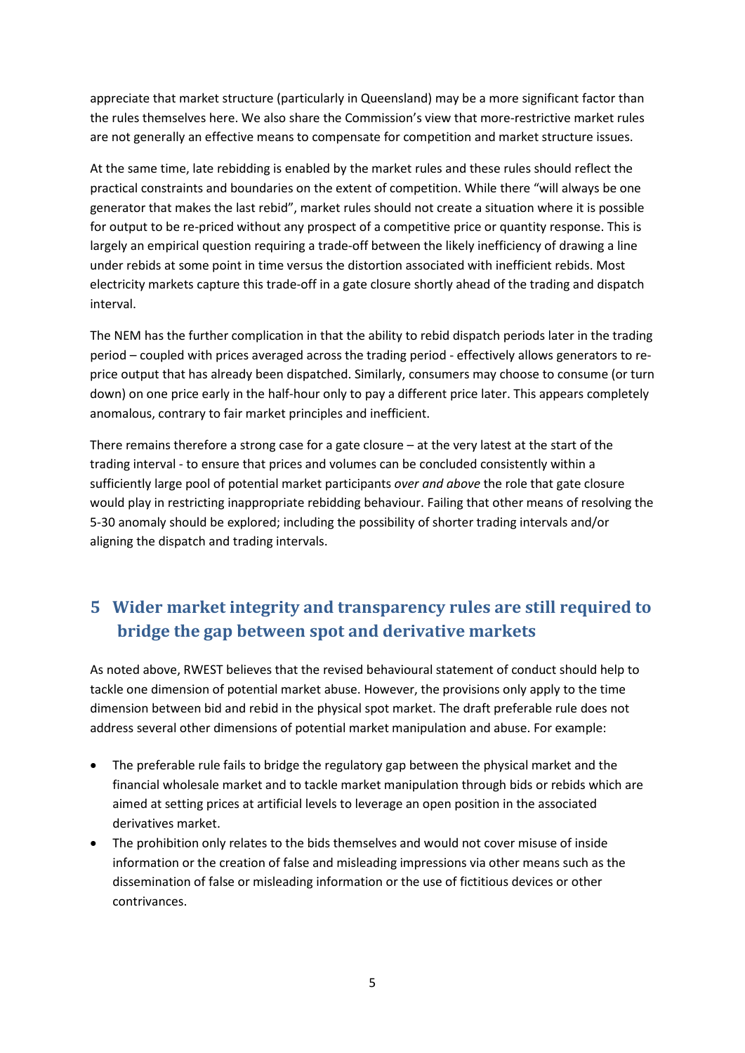appreciate that market structure (particularly in Queensland) may be a more significant factor than the rules themselves here. We also share the Commission's view that more-restrictive market rules are not generally an effective means to compensate for competition and market structure issues.

At the same time, late rebidding is enabled by the market rules and these rules should reflect the practical constraints and boundaries on the extent of competition. While there "will always be one generator that makes the last rebid", market rules should not create a situation where it is possible for output to be re-priced without any prospect of a competitive price or quantity response. This is largely an empirical question requiring a trade-off between the likely inefficiency of drawing a line under rebids at some point in time versus the distortion associated with inefficient rebids. Most electricity markets capture this trade-off in a gate closure shortly ahead of the trading and dispatch interval.

The NEM has the further complication in that the ability to rebid dispatch periods later in the trading period – coupled with prices averaged across the trading period - effectively allows generators to reprice output that has already been dispatched. Similarly, consumers may choose to consume (or turn down) on one price early in the half-hour only to pay a different price later. This appears completely anomalous, contrary to fair market principles and inefficient.

There remains therefore a strong case for a gate closure – at the very latest at the start of the trading interval - to ensure that prices and volumes can be concluded consistently within a sufficiently large pool of potential market participants *over and above* the role that gate closure would play in restricting inappropriate rebidding behaviour. Failing that other means of resolving the 5-30 anomaly should be explored; including the possibility of shorter trading intervals and/or aligning the dispatch and trading intervals.

# <span id="page-5-0"></span>**5 Wider market integrity and transparency rules are still required to bridge the gap between spot and derivative markets**

As noted above, RWEST believes that the revised behavioural statement of conduct should help to tackle one dimension of potential market abuse. However, the provisions only apply to the time dimension between bid and rebid in the physical spot market. The draft preferable rule does not address several other dimensions of potential market manipulation and abuse. For example:

- The preferable rule fails to bridge the regulatory gap between the physical market and the financial wholesale market and to tackle market manipulation through bids or rebids which are aimed at setting prices at artificial levels to leverage an open position in the associated derivatives market.
- The prohibition only relates to the bids themselves and would not cover misuse of inside information or the creation of false and misleading impressions via other means such as the dissemination of false or misleading information or the use of fictitious devices or other contrivances.